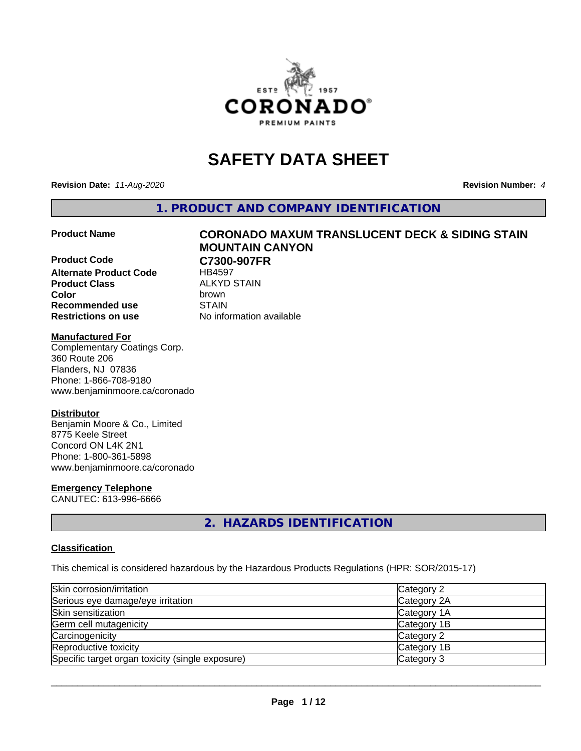

# **SAFETY DATA SHEET**

**Revision Date:** *11-Aug-2020* **Revision Number:** *4*

**1. PRODUCT AND COMPANY IDENTIFICATION**

**Product Code C7300-907FR Alternate Product Code** HB4597 **Product Class** ALKYD STAIN<br> **Color** brown **Color** brown **Recommended use STAIN Restrictions on use** No information available

# **Product Name CORONADO MAXUM TRANSLUCENT DECK & SIDING STAIN MOUNTAIN CANYON**

## **Manufactured For**

Complementary Coatings Corp. 360 Route 206 Flanders, NJ 07836 Phone: 1-866-708-9180 www.benjaminmoore.ca/coronado

## **Distributor**

Benjamin Moore & Co., Limited 8775 Keele Street Concord ON L4K 2N1 Phone: 1-800-361-5898 www.benjaminmoore.ca/coronado

## **Emergency Telephone**

CANUTEC: 613-996-6666

## **2. HAZARDS IDENTIFICATION**

## **Classification**

This chemical is considered hazardous by the Hazardous Products Regulations (HPR: SOR/2015-17)

| Skin corrosion/irritation                        | Category 2  |
|--------------------------------------------------|-------------|
| Serious eye damage/eye irritation                | Category 2A |
| Skin sensitization                               | Category 1A |
| Germ cell mutagenicity                           | Category 1B |
| Carcinogenicity                                  | Category 2  |
| Reproductive toxicity                            | Category 1B |
| Specific target organ toxicity (single exposure) | Category 3  |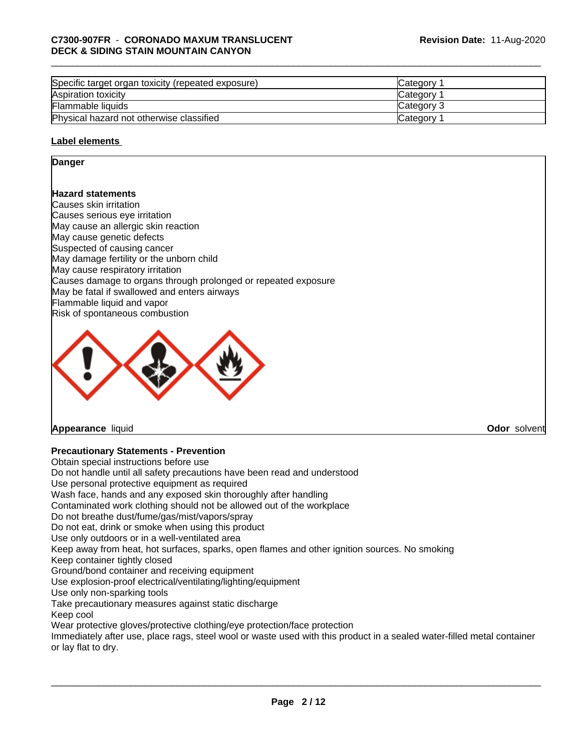| Specific target organ toxicity (repeated exposure) | <b>ICategory</b> |
|----------------------------------------------------|------------------|
| Aspiration toxicity                                | <b>Category</b>  |
| Flammable liquids                                  | Category 3       |
| Physical hazard not otherwise classified           | Category         |

## **Label elements**

### **Danger**

## **Hazard statements**

Causes skin irritation Causes serious eye irritation May cause an allergic skin reaction May cause genetic defects Suspected of causing cancer May damage fertility or the unborn child May cause respiratory irritation Causes damage to organs through prolonged or repeated exposure May be fatal if swallowed and enters airways Flammable liquid and vapor Risk of spontaneous combustion



## **Appearance** liquid **Odor** solvent

## **Precautionary Statements - Prevention**

Obtain special instructions before use Do not handle until all safety precautions have been read and understood Use personal protective equipment as required Wash face, hands and any exposed skin thoroughly after handling Contaminated work clothing should not be allowed out of the workplace Do not breathe dust/fume/gas/mist/vapors/spray Do not eat, drink or smoke when using this product Use only outdoors or in a well-ventilated area Keep away from heat, hot surfaces, sparks, open flames and other ignition sources. No smoking Keep container tightly closed Ground/bond container and receiving equipment Use explosion-proof electrical/ventilating/lighting/equipment Use only non-sparking tools Take precautionary measures against static discharge Keep cool Wear protective gloves/protective clothing/eye protection/face protection Immediately after use, place rags, steel wool or waste used with this product in a sealed water-filled metal container or lay flat to dry.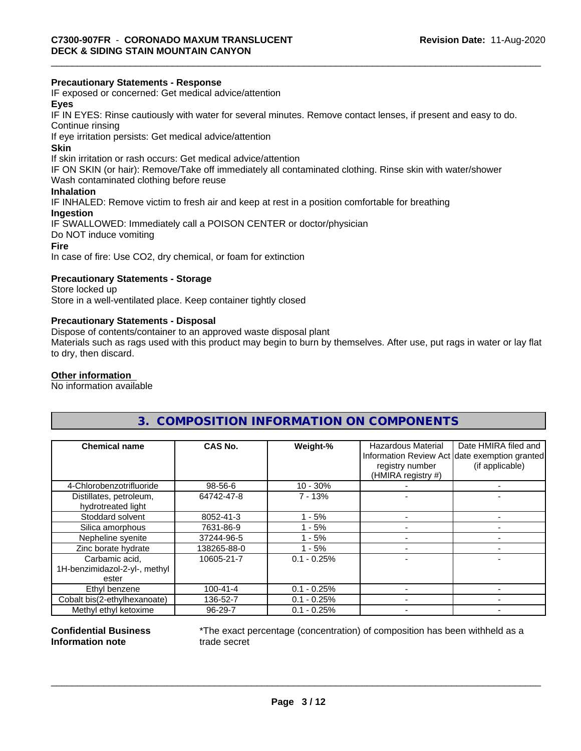## **Precautionary Statements - Response**

IF exposed or concerned: Get medical advice/attention

## **Eyes**

IF IN EYES: Rinse cautiously with water forseveral minutes. Remove contact lenses, if present and easy to do. Continue rinsing

If eye irritation persists: Get medical advice/attention

### **Skin**

If skin irritation or rash occurs: Get medical advice/attention

IF ON SKIN (or hair): Remove/Take off immediately all contaminated clothing. Rinse skin with water/shower Wash contaminated clothing before reuse

## **Inhalation**

IF INHALED: Remove victim to fresh air and keep at rest in a position comfortable for breathing

#### **Ingestion**

IF SWALLOWED: Immediately call a POISON CENTER or doctor/physician Do NOT induce vomiting **Fire**

In case of fire: Use CO2, dry chemical, or foam for extinction

## **Precautionary Statements - Storage**

Store locked up Store in a well-ventilated place. Keep container tightly closed

### **Precautionary Statements - Disposal**

Dispose of contents/container to an approved waste disposal plant

Materials such as rags used with this product may begin to burn by themselves. After use, put rags in water or lay flat to dry, then discard.

## **Other information**

No information available

## **3. COMPOSITION INFORMATION ON COMPONENTS**

| <b>Chemical name</b>                          | CAS No.        | Weight-%       | Hazardous Material<br>registry number<br>(HMIRA registry #) | Date HMIRA filed and<br>Information Review Act date exemption granted<br>(if applicable) |
|-----------------------------------------------|----------------|----------------|-------------------------------------------------------------|------------------------------------------------------------------------------------------|
| 4-Chlorobenzotrifluoride                      | 98-56-6        | $10 - 30%$     |                                                             |                                                                                          |
| Distillates, petroleum,<br>hydrotreated light | 64742-47-8     | $7 - 13%$      |                                                             |                                                                                          |
| Stoddard solvent                              | 8052-41-3      | $-5%$          |                                                             |                                                                                          |
| Silica amorphous                              | 7631-86-9      | $1 - 5%$       |                                                             |                                                                                          |
| Nepheline syenite                             | 37244-96-5     | $1 - 5%$       |                                                             |                                                                                          |
| Zinc borate hydrate                           | 138265-88-0    | $1 - 5%$       |                                                             |                                                                                          |
| Carbamic acid,                                | 10605-21-7     | $0.1 - 0.25\%$ |                                                             |                                                                                          |
| 1H-benzimidazol-2-yl-, methyl<br>ester        |                |                |                                                             |                                                                                          |
| Ethyl benzene                                 | $100 - 41 - 4$ | $0.1 - 0.25%$  |                                                             |                                                                                          |
| Cobalt bis(2-ethylhexanoate)                  | 136-52-7       | $0.1 - 0.25%$  |                                                             |                                                                                          |
| Methyl ethyl ketoxime                         | 96-29-7        | $0.1 - 0.25%$  |                                                             |                                                                                          |

### **Confidential Business Information note**

\*The exact percentage (concentration) of composition has been withheld as a trade secret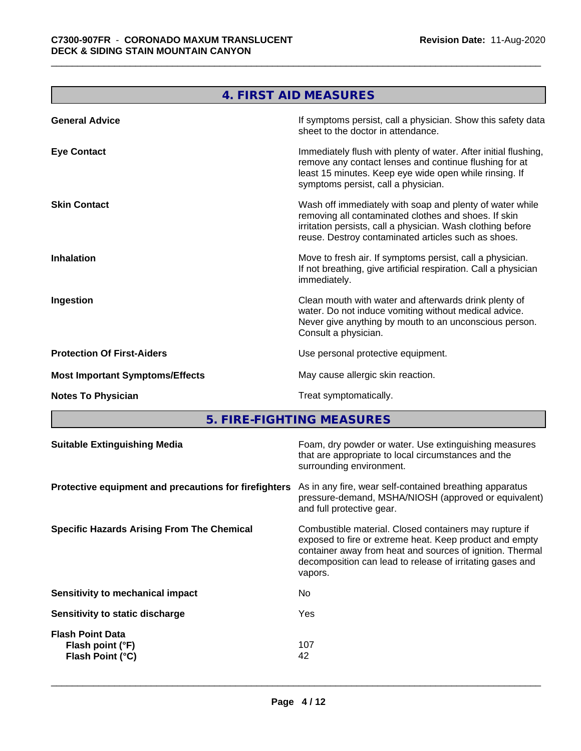|                                        | 4. FIRST AID MEASURES                                                                                                                                                                                                                  |
|----------------------------------------|----------------------------------------------------------------------------------------------------------------------------------------------------------------------------------------------------------------------------------------|
| <b>General Advice</b>                  | If symptoms persist, call a physician. Show this safety data<br>sheet to the doctor in attendance.                                                                                                                                     |
| <b>Eye Contact</b>                     | Immediately flush with plenty of water. After initial flushing,<br>remove any contact lenses and continue flushing for at<br>least 15 minutes. Keep eye wide open while rinsing. If<br>symptoms persist, call a physician.             |
| <b>Skin Contact</b>                    | Wash off immediately with soap and plenty of water while<br>removing all contaminated clothes and shoes. If skin<br>irritation persists, call a physician. Wash clothing before<br>reuse. Destroy contaminated articles such as shoes. |
| <b>Inhalation</b>                      | Move to fresh air. If symptoms persist, call a physician.<br>If not breathing, give artificial respiration. Call a physician<br>immediately.                                                                                           |
| Ingestion                              | Clean mouth with water and afterwards drink plenty of<br>water. Do not induce vomiting without medical advice.<br>Never give anything by mouth to an unconscious person.<br>Consult a physician.                                       |
| <b>Protection Of First-Aiders</b>      | Use personal protective equipment.                                                                                                                                                                                                     |
| <b>Most Important Symptoms/Effects</b> | May cause allergic skin reaction.                                                                                                                                                                                                      |
| <b>Notes To Physician</b>              | Treat symptomatically.                                                                                                                                                                                                                 |

**5. FIRE-FIGHTING MEASURES**

| <b>Suitable Extinguishing Media</b>                                          | Foam, dry powder or water. Use extinguishing measures<br>that are appropriate to local circumstances and the<br>surrounding environment.                                                                                                    |
|------------------------------------------------------------------------------|---------------------------------------------------------------------------------------------------------------------------------------------------------------------------------------------------------------------------------------------|
| Protective equipment and precautions for firefighters                        | As in any fire, wear self-contained breathing apparatus<br>pressure-demand, MSHA/NIOSH (approved or equivalent)<br>and full protective gear.                                                                                                |
| <b>Specific Hazards Arising From The Chemical</b><br>vapors.                 | Combustible material. Closed containers may rupture if<br>exposed to fire or extreme heat. Keep product and empty<br>container away from heat and sources of ignition. Thermal<br>decomposition can lead to release of irritating gases and |
| No.<br>Sensitivity to mechanical impact                                      |                                                                                                                                                                                                                                             |
| Yes<br>Sensitivity to static discharge                                       |                                                                                                                                                                                                                                             |
| <b>Flash Point Data</b><br>107<br>Flash point (°F)<br>Flash Point (°C)<br>42 |                                                                                                                                                                                                                                             |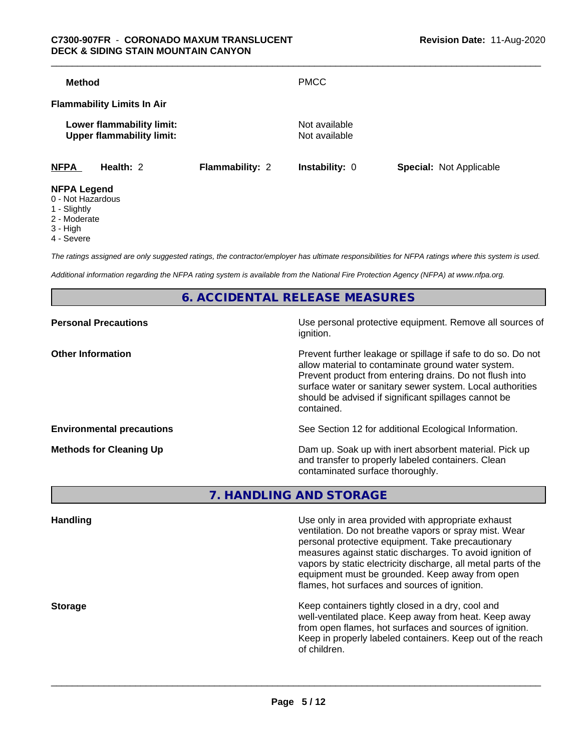| <b>Method</b>      |                                                               |                        | <b>PMCC</b>                    |                                |
|--------------------|---------------------------------------------------------------|------------------------|--------------------------------|--------------------------------|
|                    | <b>Flammability Limits In Air</b>                             |                        |                                |                                |
|                    | Lower flammability limit:<br><b>Upper flammability limit:</b> |                        | Not available<br>Not available |                                |
| <b>NFPA</b>        | Health: 2                                                     | <b>Flammability: 2</b> | <b>Instability: 0</b>          | <b>Special: Not Applicable</b> |
| <b>NFPA Legend</b> |                                                               |                        |                                |                                |

- 0 Not Hazardous
- 1 Slightly
- 2 Moderate
- 3 High
- 4 Severe

*The ratings assigned are only suggested ratings, the contractor/employer has ultimate responsibilities for NFPA ratings where this system is used.*

*Additional information regarding the NFPA rating system is available from the National Fire Protection Agency (NFPA) at www.nfpa.org.*

**6. ACCIDENTAL RELEASE MEASURES**

| <b>Personal Precautions</b>      | Use personal protective equipment. Remove all sources of<br>ignition.                                                                                                                                                                                                                                            |
|----------------------------------|------------------------------------------------------------------------------------------------------------------------------------------------------------------------------------------------------------------------------------------------------------------------------------------------------------------|
| <b>Other Information</b>         | Prevent further leakage or spillage if safe to do so. Do not<br>allow material to contaminate ground water system.<br>Prevent product from entering drains. Do not flush into<br>surface water or sanitary sewer system. Local authorities<br>should be advised if significant spillages cannot be<br>contained. |
| <b>Environmental precautions</b> | See Section 12 for additional Ecological Information.                                                                                                                                                                                                                                                            |
| <b>Methods for Cleaning Up</b>   | Dam up. Soak up with inert absorbent material. Pick up<br>and transfer to properly labeled containers. Clean<br>contaminated surface thoroughly.                                                                                                                                                                 |

**7. HANDLING AND STORAGE**

| <b>Handling</b> | Use only in area provided with appropriate exhaust<br>ventilation. Do not breathe vapors or spray mist. Wear<br>personal protective equipment. Take precautionary<br>measures against static discharges. To avoid ignition of<br>vapors by static electricity discharge, all metal parts of the<br>equipment must be grounded. Keep away from open<br>flames, hot surfaces and sources of ignition. |
|-----------------|-----------------------------------------------------------------------------------------------------------------------------------------------------------------------------------------------------------------------------------------------------------------------------------------------------------------------------------------------------------------------------------------------------|
| <b>Storage</b>  | Keep containers tightly closed in a dry, cool and<br>well-ventilated place. Keep away from heat. Keep away<br>from open flames, hot surfaces and sources of ignition.<br>Keep in properly labeled containers. Keep out of the reach<br>of children.                                                                                                                                                 |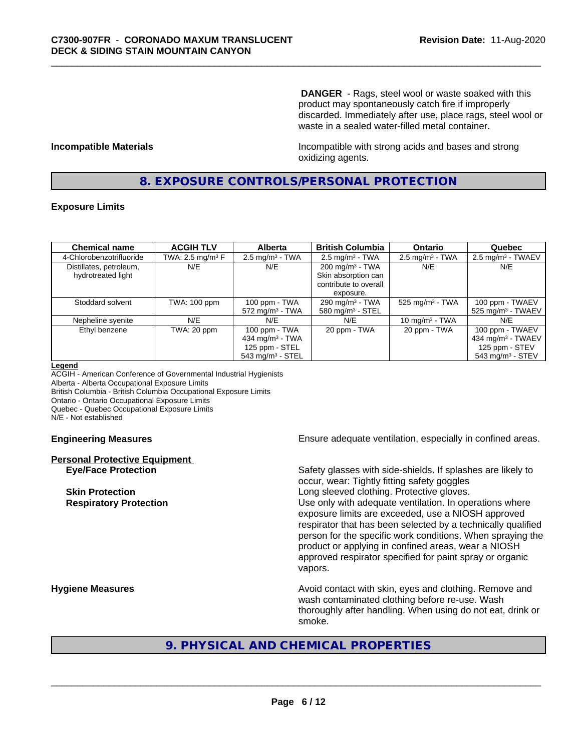**DANGER** - Rags, steel wool or waste soaked with this product may spontaneously catch fire if improperly discarded. Immediately after use, place rags, steel wool or waste in a sealed water-filled metal container.

**Incompatible Materials Incompatible with strong acids and bases and strong** oxidizing agents.

## **8. EXPOSURE CONTROLS/PERSONAL PROTECTION**

## **Exposure Limits**

| <b>Chemical name</b>     | <b>ACGIH TLV</b>    | <b>Alberta</b>                 | <b>British Columbia</b>      | <b>Ontario</b>                | Quebec                          |
|--------------------------|---------------------|--------------------------------|------------------------------|-------------------------------|---------------------------------|
| 4-Chlorobenzotrifluoride | TWA: 2.5 mg/m $3$ F | $2.5$ mg/m <sup>3</sup> - TWA  | $2.5 \text{ mg/m}^3$ - TWA   | $2.5 \text{ mg/m}^3$ - TWA    | $2.5 \text{ mg/m}^3$ - TWAEV    |
| Distillates, petroleum,  | N/E                 | N/E                            | $200 \text{ mg/m}^3$ - TWA   | N/E                           | N/E                             |
| hydrotreated light       |                     |                                | Skin absorption can          |                               |                                 |
|                          |                     |                                | contribute to overall        |                               |                                 |
|                          |                     |                                | exposure.                    |                               |                                 |
| Stoddard solvent         | TWA: 100 ppm        | 100 ppm - TWA                  | 290 mg/m $3$ - TWA           | $525$ mg/m <sup>3</sup> - TWA | 100 ppm - TWAEV                 |
|                          |                     | $572$ mg/m <sup>3</sup> - TWA  | 580 mg/m <sup>3</sup> - STEL |                               | $525$ mg/m <sup>3</sup> - TWAEV |
| Nepheline syenite        | N/E                 | N/E                            | N/E                          | 10 mg/m $3$ - TWA             | N/E                             |
| Ethyl benzene            | TWA: 20 ppm         | 100 ppm - TWA                  | 20 ppm - TWA                 | 20 ppm - TWA                  | 100 ppm - TWAEV                 |
|                          |                     | 434 mg/m $3$ - TWA             |                              |                               | 434 mg/m <sup>3</sup> - TWAEV   |
|                          |                     | 125 ppm - STEL                 |                              |                               | 125 ppm - STEV                  |
|                          |                     | $543$ mg/m <sup>3</sup> - STEL |                              |                               | $543$ mg/m <sup>3</sup> - STEV  |

#### **Legend**

ACGIH - American Conference of Governmental Industrial Hygienists Alberta - Alberta Occupational Exposure Limits British Columbia - British Columbia Occupational Exposure Limits Ontario - Ontario Occupational Exposure Limits Quebec - Quebec Occupational Exposure Limits N/E - Not established

# **Personal Protective Equipment**

**Engineering Measures Ensure** Ensure adequate ventilation, especially in confined areas.

**Eye/Face Protection** Safety glasses with side-shields. If splashes are likely to occur, wear: Tightly fitting safety goggles **Skin Protection Skin Protection Skin Protective gloves.** Long sleeved clothing. Protective gloves. **Respiratory Protection Exercise 2018** Use only with adequate ventilation. In operations where exposure limits are exceeded, use a NIOSH approved respirator that has been selected by a technically qualified person for the specific work conditions. When spraying the product or applying in confined areas, wear a NIOSH approved respirator specified for paint spray or organic vapors.

**Hygiene Measures Avoid contact with skin, eyes and clothing. Remove and Avoid contact with skin, eyes and clothing. Remove and** wash contaminated clothing before re-use. Wash thoroughly after handling. When using do not eat, drink or smoke.

## **9. PHYSICAL AND CHEMICAL PROPERTIES**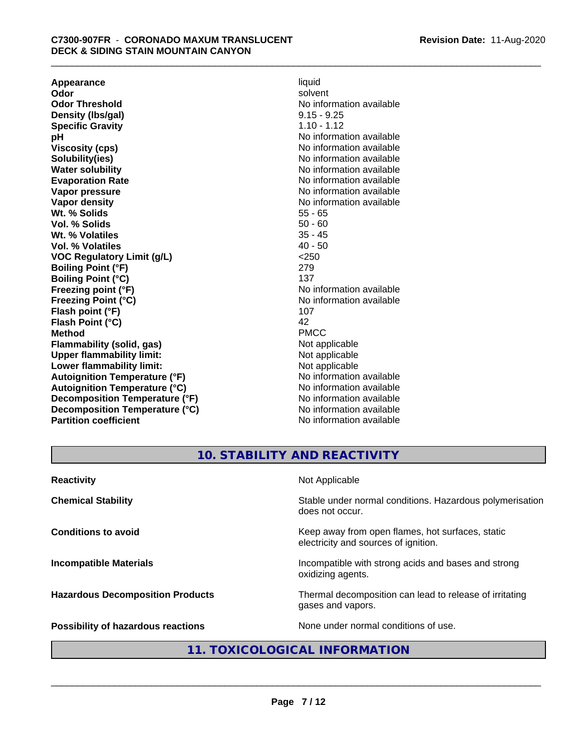**Appearance** liquid and **a liquid liquid liquid** by the liquid liquid liquid solvent **Odor** solvent **Odor Threshold** No information available **Density (lbs/gal)** 9.15 - 9.25 **Specific Gravity** 1.10 - 1.12<br> **pH** No informa **Viscosity (cps)** No information available **Solubility(ies)** No information available **Water solubility** No information available **Evaporation Rate No information available No information available Vapor pressure** No information available **Vapor density No information available No** information available **Wt. % Solids** 55 - 65<br> **Vol. % Solids** 50 - 60 **Vol. % Solids** 50 - 60 **Wt. % Volatiles Vol. % Volatiles** 40 - 50 **VOC Regulatory Limit (g/L)** <250 **Boiling Point (°F)** 279 **Boiling Point (°C)** 137 **Freezing point (°F)** The state of the state of the No information available **Freezing Point (°C)** and **COV** No information available **Flash point (°F)** 107 **Flash Point (°C)** 42 **Method** PMCC **Flammability (solid, gas)**<br> **Commability limit:**<br>
Upper flammability limit:<br>
Not applicable **Upper flammability limit:**<br> **Lower flammability limit:**<br>
Not applicable<br>
Not applicable **Lower flammability limit:**<br> **Autoianition Temperature (°F)** Not applicable Not applicable not a Not applicable **Autoignition Temperature (°F) Autoignition Temperature (°C)** No information available **Decomposition Temperature (°F)** No information available **Decomposition Temperature (°C)** No information available **Partition coefficient** No information available

**No information available** 

## **10. STABILITY AND REACTIVITY**

| <b>Reactivity</b>                       | Not Applicable                                                                           |
|-----------------------------------------|------------------------------------------------------------------------------------------|
| <b>Chemical Stability</b>               | Stable under normal conditions. Hazardous polymerisation<br>does not occur.              |
| <b>Conditions to avoid</b>              | Keep away from open flames, hot surfaces, static<br>electricity and sources of ignition. |
| <b>Incompatible Materials</b>           | Incompatible with strong acids and bases and strong<br>oxidizing agents.                 |
| <b>Hazardous Decomposition Products</b> | Thermal decomposition can lead to release of irritating<br>gases and vapors.             |
| Possibility of hazardous reactions      | None under normal conditions of use.                                                     |

## **11. TOXICOLOGICAL INFORMATION**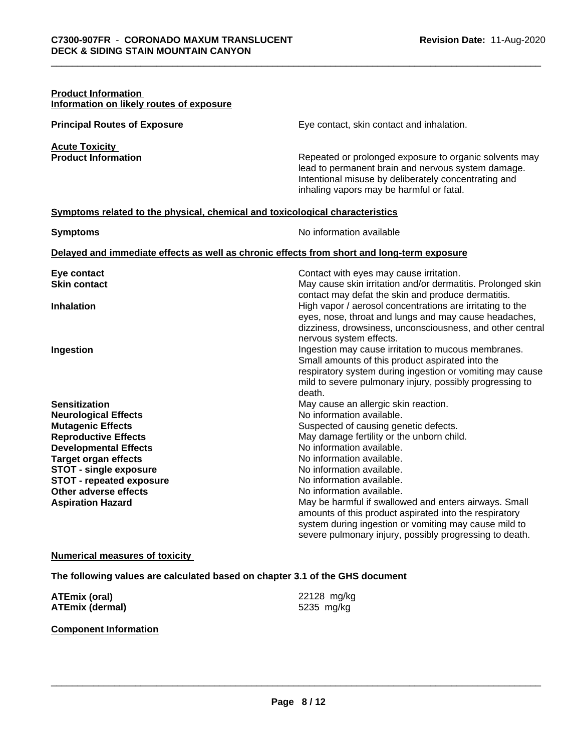| <b>Product Information</b><br>Information on likely routes of exposure                                                                                                                                                                                                                                 |                                                                                                                                                                                                                                                                                                                                                                                                                                                                                                                                                 |
|--------------------------------------------------------------------------------------------------------------------------------------------------------------------------------------------------------------------------------------------------------------------------------------------------------|-------------------------------------------------------------------------------------------------------------------------------------------------------------------------------------------------------------------------------------------------------------------------------------------------------------------------------------------------------------------------------------------------------------------------------------------------------------------------------------------------------------------------------------------------|
| <b>Principal Routes of Exposure</b>                                                                                                                                                                                                                                                                    | Eye contact, skin contact and inhalation.                                                                                                                                                                                                                                                                                                                                                                                                                                                                                                       |
| <b>Acute Toxicity</b><br><b>Product Information</b>                                                                                                                                                                                                                                                    | Repeated or prolonged exposure to organic solvents may<br>lead to permanent brain and nervous system damage.<br>Intentional misuse by deliberately concentrating and<br>inhaling vapors may be harmful or fatal.                                                                                                                                                                                                                                                                                                                                |
| Symptoms related to the physical, chemical and toxicological characteristics                                                                                                                                                                                                                           |                                                                                                                                                                                                                                                                                                                                                                                                                                                                                                                                                 |
| <b>Symptoms</b>                                                                                                                                                                                                                                                                                        | No information available                                                                                                                                                                                                                                                                                                                                                                                                                                                                                                                        |
|                                                                                                                                                                                                                                                                                                        | Delayed and immediate effects as well as chronic effects from short and long-term exposure                                                                                                                                                                                                                                                                                                                                                                                                                                                      |
| Eye contact<br><b>Skin contact</b>                                                                                                                                                                                                                                                                     | Contact with eyes may cause irritation.<br>May cause skin irritation and/or dermatitis. Prolonged skin                                                                                                                                                                                                                                                                                                                                                                                                                                          |
| Inhalation                                                                                                                                                                                                                                                                                             | contact may defat the skin and produce dermatitis.<br>High vapor / aerosol concentrations are irritating to the<br>eyes, nose, throat and lungs and may cause headaches,                                                                                                                                                                                                                                                                                                                                                                        |
| Ingestion                                                                                                                                                                                                                                                                                              | dizziness, drowsiness, unconsciousness, and other central<br>nervous system effects.<br>Ingestion may cause irritation to mucous membranes.<br>Small amounts of this product aspirated into the<br>respiratory system during ingestion or vomiting may cause<br>mild to severe pulmonary injury, possibly progressing to<br>death.                                                                                                                                                                                                              |
| <b>Sensitization</b><br><b>Neurological Effects</b><br><b>Mutagenic Effects</b><br><b>Reproductive Effects</b><br><b>Developmental Effects</b><br><b>Target organ effects</b><br><b>STOT - single exposure</b><br><b>STOT - repeated exposure</b><br>Other adverse effects<br><b>Aspiration Hazard</b> | May cause an allergic skin reaction.<br>No information available.<br>Suspected of causing genetic defects.<br>May damage fertility or the unborn child.<br>No information available.<br>No information available.<br>No information available.<br>No information available.<br>No information available.<br>May be harmful if swallowed and enters airways. Small<br>amounts of this product aspirated into the respiratory<br>system during ingestion or vomiting may cause mild to<br>severe pulmonary injury, possibly progressing to death. |

## **Numerical measures of toxicity**

**The following values are calculated based on chapter 3.1 of the GHS document**

| ATEmix (oral)          | 22128 mg/kg |
|------------------------|-------------|
| <b>ATEmix (dermal)</b> | 5235 mg/kg  |

## **Component Information**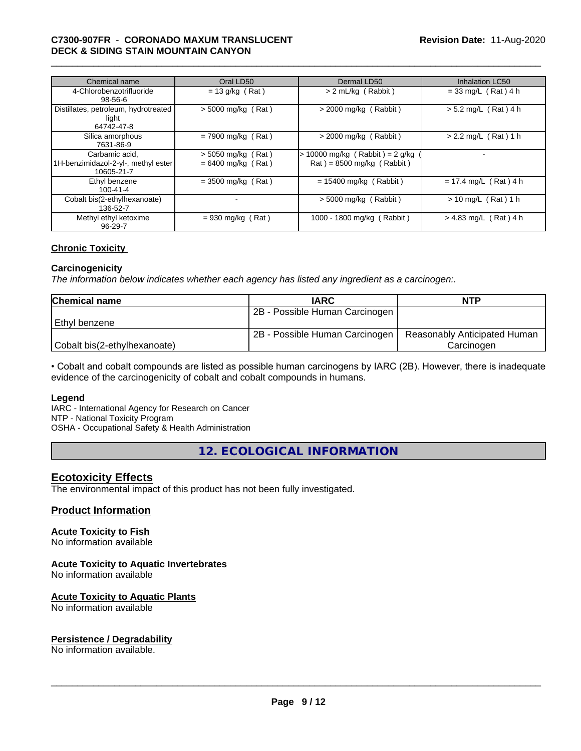## \_\_\_\_\_\_\_\_\_\_\_\_\_\_\_\_\_\_\_\_\_\_\_\_\_\_\_\_\_\_\_\_\_\_\_\_\_\_\_\_\_\_\_\_\_\_\_\_\_\_\_\_\_\_\_\_\_\_\_\_\_\_\_\_\_\_\_\_\_\_\_\_\_\_\_\_\_\_\_\_\_\_\_\_\_\_\_\_\_\_\_\_\_ **C7300-907FR** - **CORONADO MAXUM TRANSLUCENT DECK & SIDING STAIN MOUNTAIN CANYON**

| Chemical name                                                       | Oral LD50                                    | Dermal LD50                                                    | <b>Inhalation LC50</b>     |
|---------------------------------------------------------------------|----------------------------------------------|----------------------------------------------------------------|----------------------------|
| 4-Chlorobenzotrifluoride<br>$98 - 56 - 6$                           | $= 13$ g/kg (Rat)                            | > 2 mL/kg (Rabbit)                                             | $= 33$ mg/L (Rat) 4 h      |
| Distillates, petroleum, hydrotreated<br>light<br>64742-47-8         | $>$ 5000 mg/kg (Rat)                         | $>$ 2000 mg/kg (Rabbit)                                        | $> 5.2$ mg/L (Rat) 4 h     |
| Silica amorphous<br>7631-86-9                                       | $= 7900$ mg/kg (Rat)                         | $>$ 2000 mg/kg (Rabbit)                                        | $> 2.2$ mg/L (Rat) 1 h     |
| Carbamic acid.<br>1H-benzimidazol-2-yl-, methyl ester<br>10605-21-7 | $> 5050$ mg/kg (Rat)<br>$= 6400$ mg/kg (Rat) | > 10000 mg/kg (Rabbit) = 2 g/kg<br>$Rat$ = 8500 mg/kg (Rabbit) |                            |
| Ethyl benzene<br>$100 - 41 - 4$                                     | $= 3500$ mg/kg (Rat)                         | $= 15400$ mg/kg (Rabbit)                                       | $= 17.4$ mg/L (Rat) 4 h    |
| Cobalt bis(2-ethylhexanoate)<br>136-52-7                            |                                              | $>$ 5000 mg/kg (Rabbit)                                        | (Rat) 1 h<br>$> 10$ mg/L ( |
| Methyl ethyl ketoxime<br>96-29-7                                    | $= 930$ mg/kg (Rat)                          | 1000 - 1800 mg/kg (Rabbit)                                     | $> 4.83$ mg/L (Rat) 4 h    |

## **Chronic Toxicity**

#### **Carcinogenicity**

*The information below indicateswhether each agency has listed any ingredient as a carcinogen:.*

| <b>Chemical name</b>         | <b>IARC</b>                    | <b>NTP</b>                   |
|------------------------------|--------------------------------|------------------------------|
|                              | 2B - Possible Human Carcinogen |                              |
| Ethvl benzene                |                                |                              |
|                              | 2B - Possible Human Carcinogen | Reasonably Anticipated Human |
| Cobalt bis(2-ethylhexanoate) |                                | Carcinogen                   |

• Cobalt and cobalt compounds are listed as possible human carcinogens by IARC (2B). However, there is inadequate evidence of the carcinogenicity of cobalt and cobalt compounds in humans.

#### **Legend**

IARC - International Agency for Research on Cancer NTP - National Toxicity Program

OSHA - Occupational Safety & Health Administration

**12. ECOLOGICAL INFORMATION**

## **Ecotoxicity Effects**

The environmental impact of this product has not been fully investigated.

## **Product Information**

## **Acute Toxicity to Fish**

No information available

## **Acute Toxicity to Aquatic Invertebrates**

No information available

## **Acute Toxicity to Aquatic Plants**

No information available

## **Persistence / Degradability**

No information available.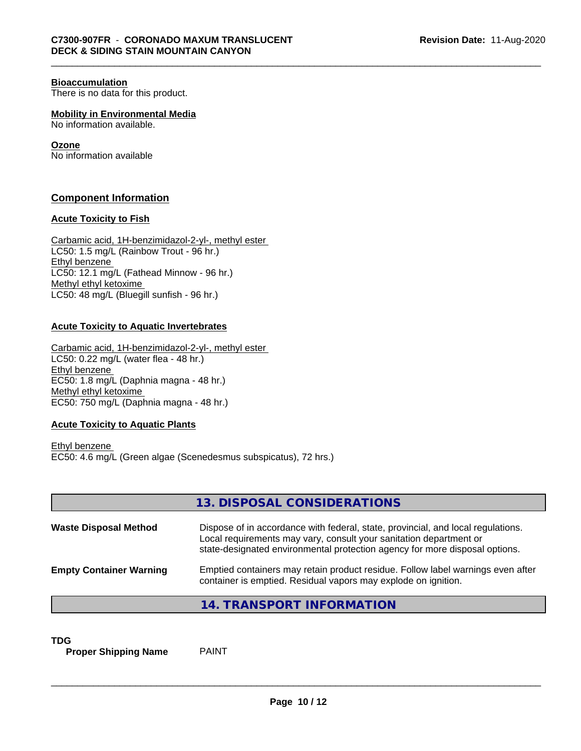#### **Bioaccumulation**

There is no data for this product.

**Mobility in Environmental Media**

No information available.

## **Ozone**

No information available

## **Component Information**

## **Acute Toxicity to Fish**

Carbamic acid, 1H-benzimidazol-2-yl-, methyl ester LC50: 1.5 mg/L (Rainbow Trout - 96 hr.) Ethyl benzene LC50: 12.1 mg/L (Fathead Minnow - 96 hr.) Methyl ethyl ketoxime LC50: 48 mg/L (Bluegill sunfish - 96 hr.)

## **Acute Toxicity to Aquatic Invertebrates**

Carbamic acid, 1H-benzimidazol-2-yl-, methyl ester LC50: 0.22 mg/L (water flea - 48 hr.) Ethyl benzene EC50: 1.8 mg/L (Daphnia magna - 48 hr.) Methyl ethyl ketoxime EC50: 750 mg/L (Daphnia magna - 48 hr.)

## **Acute Toxicity to Aquatic Plants**

Ethyl benzene EC50: 4.6 mg/L (Green algae (Scenedesmus subspicatus), 72 hrs.)

|                                | 13. DISPOSAL CONSIDERATIONS                                                                                                                                                                                                           |
|--------------------------------|---------------------------------------------------------------------------------------------------------------------------------------------------------------------------------------------------------------------------------------|
| <b>Waste Disposal Method</b>   | Dispose of in accordance with federal, state, provincial, and local regulations.<br>Local requirements may vary, consult your sanitation department or<br>state-designated environmental protection agency for more disposal options. |
| <b>Empty Container Warning</b> | Emptied containers may retain product residue. Follow label warnings even after<br>container is emptied. Residual vapors may explode on ignition.                                                                                     |
|                                | 14. TRANSPORT INFORMATION                                                                                                                                                                                                             |

**TDG**<br>**Proper Shipping Name** PAINT **Proper Shipping Name**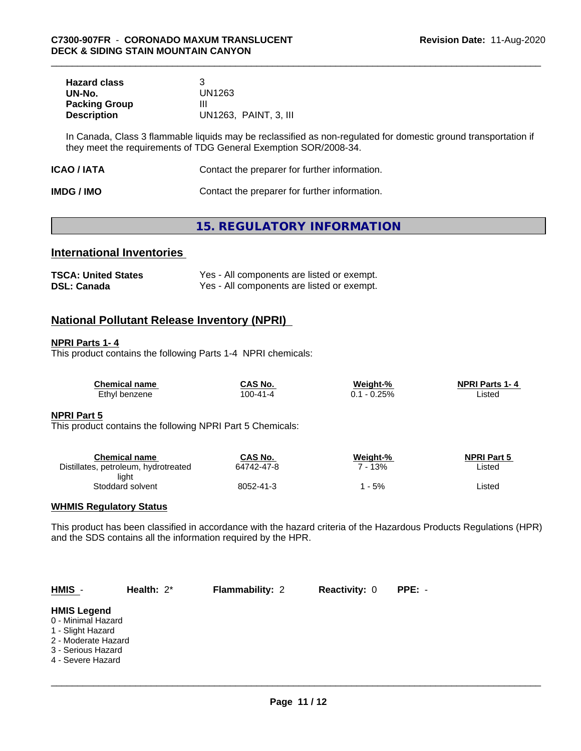| <b>Hazard class</b>  |                       |
|----------------------|-----------------------|
| UN-No.               | UN1263                |
| <b>Packing Group</b> | Ш                     |
| <b>Description</b>   | UN1263, PAINT, 3, III |

In Canada, Class 3 flammable liquids may be reclassified as non-regulated for domestic ground transportation if they meet the requirements of TDG General Exemption SOR/2008-34.

| Contact the preparer for further information.<br>ICAO / IATA |  |
|--------------------------------------------------------------|--|
|--------------------------------------------------------------|--|

| <b>IMDG / IMO</b> | Contact the preparer for further information. |
|-------------------|-----------------------------------------------|
|-------------------|-----------------------------------------------|

## **15. REGULATORY INFORMATION**

## **International Inventories**

| <b>TSCA: United States</b> | Yes - All components are listed or exempt. |
|----------------------------|--------------------------------------------|
| <b>DSL: Canada</b>         | Yes - All components are listed or exempt. |

## **National Pollutant Release Inventory (NPRI)**

## **NPRI Parts 1- 4**

This product contains the following Parts 1-4 NPRI chemicals:

| <b>Chemical name</b> | CAS No.        | Weight-% | <b>NPRI Parts 1-4</b> |
|----------------------|----------------|----------|-----------------------|
| Ethyl benzene        | $100 - 41 - 4$ | $-0.25%$ | ∟isted                |

## **NPRI Part 5**

This product contains the following NPRI Part 5 Chemicals:

| Chemical name                        | CAS No.    | Weight-% | <b>NPRI Part 5</b> |
|--------------------------------------|------------|----------|--------------------|
| Distillates, petroleum, hydrotreated | 64742-47-8 | 13%      | Listed             |
| light                                |            |          |                    |
| Stoddard solvent                     | 8052-41-3  | - 5%     | Listed             |

## **WHMIS Regulatory Status**

This product has been classified in accordance with the hazard criteria of the Hazardous Products Regulations (HPR) and the SDS contains all the information required by the HPR.

| $HMIS -$                                                                                                                        | Health: $2^*$ | <b>Flammability: 2</b> | <b>Reactivity: 0</b> | PPE: - |  |
|---------------------------------------------------------------------------------------------------------------------------------|---------------|------------------------|----------------------|--------|--|
| <b>HMIS Legend</b><br>0 - Minimal Hazard<br>1 - Slight Hazard<br>2 - Moderate Hazard<br>3 - Serious Hazard<br>4 - Severe Hazard |               |                        |                      |        |  |
|                                                                                                                                 |               |                        |                      |        |  |